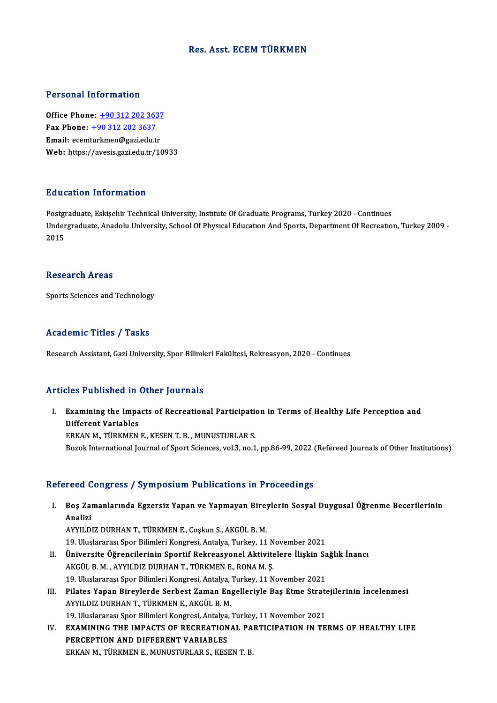# Res. Asst. ECEMTÜRKMEN

#### Personal Information

Office Phone: +90 312 202 3637 1 0100111 11101 1111011<br>
0ffice Phone: <u>+90 312 202 363</u><br>
Fax Phone: <u>+90 312 202 3637</u> Office Phone: <u>+90 312 202 3637</u><br>Fax Phone: <u>+90 312 202 3637</u><br>Email: ecem[turkmen@gazi.edu.tr](tel:+90 312 202 3637)<br>Web: https://avesis.gazi.edu.tr Email: ecemturkmen@gazi.edu.tr<br>Web: https://avesis.gazi.edu.tr/10933

#### Education Information

**Education Information<br>Postgraduate, Eskişehir Technical University, Institute Of Graduate Programs, Turkey 2020 - Continues<br>Undergraduate Anadely University, School Of Physical Education And Sports, Department Of Becreati** Undergraduate, Anadolu University, School Of Physical Education And Sports, Department Of Recreation, Turkey 2009 -<br>2015 Postgi<br>Under<br>2015

#### Research Areas

Sports Sciences and Technology

# Academic Titles / Tasks

ResearchAssistant,GaziUniversity,SporBilimleriFakültesi,Rekreasyon,2020 -Continues

# Articles Published in Other Journals

I. Examining the Impacts of Recreational Participation in Terms of Healthy Life Perception and Examining the Impa<br>Different Variables<br>EDKAN M. TÜDKMEN Examining the Impacts of Recreational Participation<br>Different Variables<br>ERKAN M., TÜRKMEN E., KESEN T. B. , MUNUSTURLAR S.<br>Perek International Journal of Sport Sciences, vol.2, no.1 Different Variables<br>ERKAN M., TÜRKMEN E., KESEN T. B. , MUNUSTURLAR S.<br>Bozok International Journal of Sport Sciences, vol.3, no.1, pp.86-99, 2022 (Refereed Journals of Other Institutions)

# Refereed Congress / Symposium Publications in Proceedings

efereed Congress / Symposium Publications in Proceedings<br>I. Boş Zamanlarında Egzersiz Yapan ve Yapmayan Bireylerin Sosyal Duygusal Öğrenme Becerilerinin<br>Analiri ک Post<br>Bos Zai<br>Analizi Analizi<br>AYYILDIZ DURHAN T., TÜRKMEN E., Coşkun S., AKGÜL B. M. Analizi<br>AYYILDIZ DURHAN T., TÜRKMEN E., Coşkun S., AKGÜL B. M.<br>19. Uluslararası Spor Bilimleri Kongresi, Antalya, Turkey, 11 November 2021<br>Üniversite Öğrensilerinin Sportif Bekreesyenel Aktivitelere İliskin Sa

- II. Üniversite Öğrencilerinin Sportif Rekreasyonel Aktivitelere İlişkin Sağlık İnancı<br>AKGÜL B. M., AYYILDIZ DURHAN T., TÜRKMEN E., RONA M. S. 19. Uluslararası Spor Bilimleri Kongresi, Antalya, Turkey, 11 Nüniversite Öğrencilerinin Sportif Rekreasyonel Aktivite<br>AKGÜL B. M. , AYYILDIZ DURHAN T., TÜRKMEN E., RONA M. Ş.<br>19. Uluslararası Spor Bilimleri Kongresi, Anta Üniversite Öğrencilerinin Sportif Rekreasyonel Aktivitelere İlişkin Sa<br>AKGÜL B. M. , AYYILDIZ DURHAN T., TÜRKMEN E., RONA M. Ş.<br>19. Uluslararası Spor Bilimleri Kongresi, Antalya, Turkey, 11 November 2021<br>Bilates Yanan Biro AKGÜL B. M. , AYYILDIZ DURHAN T., TÜRKMEN E., RONA M. Ş.<br>19. Uluslararası Spor Bilimleri Kongresi, Antalya, Turkey, 11 November 2021<br>III. Pilates Yapan Bireylerde Serbest Zaman Engelleriyle Baş Etme Stratejilerinin İncelen
- 19. Uluslararası Spor Bilimleri Kongresi, Antalya,<br>Pilates Yapan Bireylerde Serbest Zaman En<br>AYYILDIZ DURHAN T., TÜRKMEN E., AKGÜL B. M.<br>19. Uluslararası Spor Bilimleri Kongresi, Antalya İ Pilates Yapan Bireylerde Serbest Zaman Engelleriyle Baş Etme Strate<br>AYYILDIZ DURHAN T., TÜRKMEN E., AKGÜL B. M.<br>19. Uluslararası Spor Bilimleri Kongresi, Antalya, Turkey, 11 November 2021<br>EXAMINING THE IMPAGTS OF RECREATIO AYYILDIZ DURHAN T., TÜRKMEN E., AKGÜL B. M.<br>19. Uluslararası Spor Bilimleri Kongresi, Antalya, Turkey, 11 November 2021<br>IV. EXAMINING THE IMPACTS OF RECREATIONAL PARTICIPATION IN TERMS OF HEALTHY LIFE<br>PERCEPTION AND DIFFER 19. Uluslararası Spor Bilimleri Kongresi, Antalya, Turkey, 11 November 2021
- ERKAN M., TÜRKMEN E., MUNUSTURLAR S., KESEN T. B.